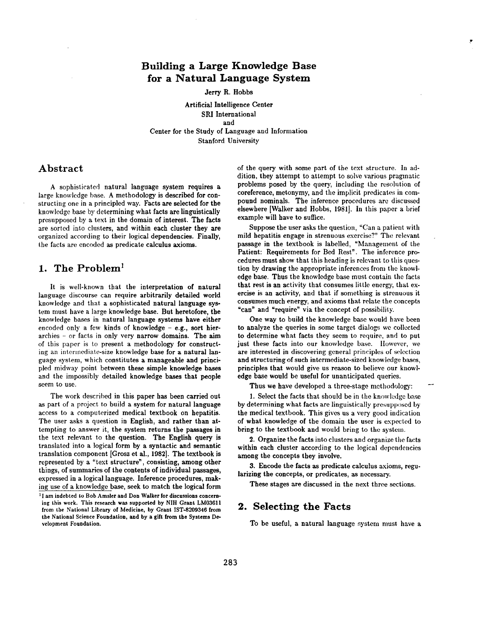## **Building a Large Knowledge Base for a Natural Language System**

#### Jerry R. **Hobbs**

Artificial Intelligence **Center SRI International**  and Center for the Study of Language and Information Stanford University

#### **Abstract**

A sophisticated natural language system requires a large knowledge base. A methodology is described for constructing one in a principled way. Facts are selected for the knowledge base by determining what facts are linguistically presupposed by a text in the domain of interest. The facts are sorted into clusters, and within each cluster they are organized according to their logical dependencies. Finally, the facts are encoded as predicate calculus axioms.

### **1. The Problem I**

It is well-known that the interpretation of natural language discourse can require arbitrarily detailed world knowledge and that a sophisticated natural language system must have a large knowledge base. But heretofore, the knowledge bases in natural language systems have either encoded only a few kinds of knowledge  $-$  e.g., sort hierarchies - or facts in only very narrow domains. The aim of this paper is to present a methodology for constructing an intermediate-size knowledge base for a natural language system, which constitutes a manageable and principled midway point between these simple **knowledge bases**  and the impossibly detailed knowledge bases that people seem to use.

The work described in this paper has been carried out as part of a project to build a system for natural language access to a computerized medical textbook on hepatitis. The user asks a question in English, and rather than attempting to answer it, the system returns the passages in the text relevant to the question. The English query is translated into a logical form by a syntactic and semantic translation component [Grosz et al., 1982]. The textbook is represented by a "text structure", consisting, among other things, of summaries of the contents of individual passages, expressed in a logical language. Inference procedures, making use of a knowledge base, seek to match the logical form **i I am** indebted to **Bob Amsler and Don Walker for discussions concerning this work. This research was supported by NIH Grant LM03611 from the National Library of Medicine, by Grant IST-8209346 from the National Science Foundation, and by a gift from the Systems De=**  velopment Foundation.

of the query with some part of the text structure. In addition, they attempt to attempt to solve various pragmatic problems posed by the query, including the resolution of coreference, metonymy, and the implicit predicates in compound nominals. The inference procedures are discussed elsewhere [Walker and Hobbs, 1981]. In this paper a brief example will have to suffice.

Suppose the user asks the question, "Can a patient with mild hepatitis engage in strenuous exercise?" The relevant passage in the textbook is labelled, "Management of the Patient: Requirements for Bed Rest". The inference procedures must show that this heading is relevant to this question by drawing the appropriate inferences from the knowledge base. Thus the knowledge base must contain the facts that rest is an activity that consumes little energy, that exercise is an activity, and that if something is strenuous it consumes much energy, and axioms that relate the concepts "can" and "require" via the concept of possibility.

One way to build the knowledge base would have been to analyze the queries in some target dialogs we collected to determine what facts they seem to require, and to put just these facts into our knowledge base. However, we are interested in discovering gcneral principles of selection and structuring of such intermediate-sized knowledge bases, principles that would give us reason to believe our knowledge base would be useful for unanticipated queries.

Thus we have developed a three-stage methodology:

I. Select the facts that should be in the knowledge base by determining what facts are linguistically presupposed by the medical textbook. This gives us a very good indication of what knowledge of the domain the user is expected to bring to the textbook and would bring to the system.

2. Organize the facts into clusters and organize the facts within each cluster according to the logical dependencies among the concepts they involve.

3. Encode the facts as predicate calculus axioms, regularizing the concepts, or predicates, as necessary.

**These** stages are discussed in the next three sections.

### **2. Selecting the Facts**

To be useful, a natural language system must have a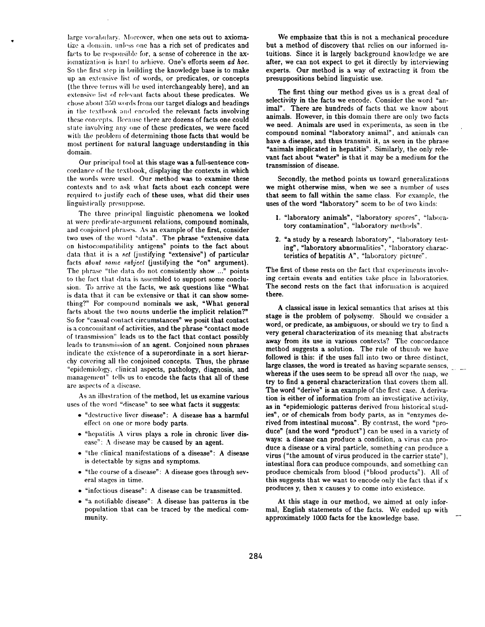large vocabulary. Moreover, when one sets out to axiomatize a domain, unless one has a rich set of predicates and facts to be responsible for, a sense of coherence in the axiomatization is hard to achieve. One's efforts seem *ad hoc.* So the first step in building the knowledge base is to make up an extensive list of words, or predicates, or concepts (the three terms will be used interchangeably here), and an extensive list of relevant facts about these predicates. We chose about 350 words from our target dialogs and headings in the textbook and encoded the relevant facts involving these concepts. Because there are dozens of facts one could state involving any one of these predicates, we were faced with the problem of determining those facts that would be most pertinent for natural language understanding in this domain.

Our principal tool at this stage was a full-sentence concordance of the textbook, displaying the contexts in which the words were used. Our method was to examine these contexts and to ask what facts about each concept were required to justify each of these uses, what did their uses linguist ically presuppose.

The three principal linguistic phenomena we looked at were predicate-argument relations, compound nominals, and conjoined phrases. As an example of the first, consider two uses of the word "data". The phrase "extensive data on histocompatibility antigens" points to the fact about data that it is a set (justifying "extensive") of particular facts *about some subject* (justifying the "on" argument). The phrase "the data do not consistently show ..." points to the fact that data is assembled to support some conclusion. To arrive at the facts, we ask questions like "What is data that it can be extensive or that it can show something?" For compound nominals we ask, "What general facts about the two nouns underlie the implicit relation?" So for "casual contact circumstances" we posit that contact is a concomitant of activities, and the phrase "contact mode of transmission" leads us to the fact that contact possibly leads to transmission of an agent. Conjoined noun phrases indicate the existence of a superordinate in a sort hierarchy covering all the conjoined concepts. Thus, the phrase "epidemiology, clinical aspects, pathology, diagnosis, and management" tells us to encode the facts that all of these are aspects of a disease.

As an illustration of the method, let us examine various uses of the word "disease" to see what facts it suggests:

- "destructive liver disease": A disease has a harmful effect on one or more body parts.
- "hepatitis A virus plays a role in chronic liver disease": A disease may be caused by an agent.
- "the clinical manifestations of a disease": A disease is detectable by signs and symptoms.
- "the course of a disease" : A disease goes through several stages in time.
- "infectious disease": A disease can be transmitted.
- '% notifiable disease": A disease has patterns in the population that can be traced by the medical community.

We emphasize that this is not a mechanical procedure but a method of discovery that relies on our informed intuitions. Since it is largely background knowledge we are after, we can not expect to get it directly by interviewing experts. Our method is a way of extracting it from the presuppositions behind linguistic use.

The first thing our method gives us is a great deal of selectivity in the facts we encode. Consider the word "animal". There are hundreds of facts that we know about animals. However, in this domain there are only two facts we need. Animals are used in experiments, as seen in the compound nominal "laboratory animal", and animals can have a disease, and thus transmit it, as seen in the phrase "animals implicated in hepatitis". Similarly, the only relevant fact about "water" is that it may be a medium for the transmission of disease.

Secondly, the method points us toward generalizations we might otherwise miss, when we see a number of uses that seem to fall within the same class. For example, the uses of the word "laboratory" seem to be of two kinds:

- 1. "laboratory animals", "laboratory spores", "laboratory contamination", "laboratory methods".
- 2. "a study by a research laboratory", "laboratory testing", "laboratory abnormalities", "laboratory characteristics of hepatitis A', "laboratory picture".

The first of these rests on the fact that experiments involving certain events and entities take place in laboratories. The second rests on the fact that information is acquired there.

A classical issue in lexical semantics that arises at this stage is the problem of polysemy. Should we consider a word, or predicate, as ambiguous, or should we try to find a very general characterization of its meaning that abstracts away from its use in various contexts? The concordance method suggests a solution. The rule of thumb we have followed is this: if the uses fall into two or three distinct, large classes, the word is treated as having separate senses,  $\Box$ whereas if the uses seem to be spread all over the map, we try to find a general characterization that covers them all. The word "derive" is an example of the first case. A derivation is either of information from an investigative activity, as in "epidemiologic patterns derived from historical studies", or of chemicals from body parts, as in "enzymes derived from intestinal mucosa". By contrast, the word "produce" (and the word "product"} can be used in a variety of ways: a disease can produce a condition, a virus can produce a disease or a viral particle, something can produce a virus ("the amount of virus produced in the carrier state"), intestinal flora can produce compounds, and something can produce chemicals from blood ("blood products"). All of this suggests that we want to encode only the fact that if x produces y, then x causes y to come into existence.

At this stage in our method, we aimed at only informal, English statements of the facts. We ended up with approximately 1000 facts for the knowledge base.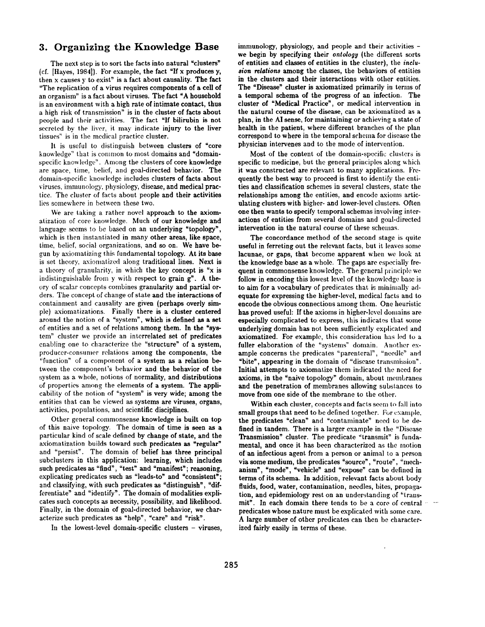### **3. Organizing the Knowledge Base**

The next step is to sort the facts into natural "clusters" (cf. [Hayes, 1984]). For example, the fact "If x produces y, then x causes y to exist" is a fact about causality. The fact "The replication of a virus requires components of a cell of an organism" is a fact about viruses. The fact "A household is an environment with a high rate of intimate contact, thus a high risk of transmission" is in the cluster of facts about people and their activities. The fact "If bilirubin is not secreted by the liver, it may indicate injury to the liver tissues" is in the medical practice cluster.

It is useful to distinguish between clusters of "core knowledge" that is common to most domains and "domainspecific knowledge". Among the clusters of core knowledge are space, time, belief, and goal-directed behavior. The domain-specific knowledge includes clusters of facts about viruses, immunology, physiology, disease, and medical practice. The cluster of facts about people and their activities lies somewhere in between these two.

We are taking a rather novel approach to the axiomatization of core knowledge. Much of our knowledge and language seems to be based on an underlying "topology", which is then instantiated in many other areas, like space, time, belief, social organizations, and so on. We have begun by axiomatizing this fundamental topology. At its base is set theory, axiomatized along traditional lines. Next is a theory of granularity, in which the key concept is "x is indistinguishable from y with respect to grain  $g''$ . A theory of scalar concepts combines granularity and partial orders. The concept of change of state and the interactions of containment and causality are given (perhaps overly simple) axiomatizations. Finally there is a cluster centered around the notion of a "system", which is defined as a set of entities and a set of relations among them. In the "system" cluster we provide an interrelated set of predicates enabling one to characterize the "structure" of a system, producer-consumer relations among the components, the "function" of a component of a system as a relation between the component's behavior and the behavior of the system as a whole, notions of normality, and distributions of properties among the elements of a system. The applicability of the notion of "system" is very wide; among the entities that can be viewed as systems are viruses, organs, activities, populations, and scientific disciplines.

Other general commonsense knowledge is built on top of this naive topology. The domain of time is seen as a particular kind of scale defined by change of state, and the axiomatization builds toward such predicates as "regular" and "persist". The domain of belief has three principal subclusters in this application: learning, which includes such predicates as "find", "test" and "manifest"; reasoning, explicating predicates such as "leads-to" and "consistent"; and classifying, with such predicates as "distinguish", "differentiate" and "identify". The domain of modalities explicates such concepts as necessity, possibility, and likelihood. Finally, in the domain of goal-directed behavior, we characterize such predicates as "help", "care" and "risk".

In the lowest-level domain-specific clusters - viruses,

immunology, physiology, and people and their activities we begin by specifying their *ontology* (the different sorts of entities and classes of entities in the cluster), the *inclusion relations* **among the classes, the behaviors of entities**  in the clusters and their interactions with other entities. The "Disease" cluster is axiomatized primarily in terms of a temporal schema of the progress of an infection. The cluster of "Medical Practice", or medical intervention in the natural course of the disease, can be axiomatized as **a**  plan, in the AI sense, for maintaining or achieving a state of health in the patient, where different branches of the plan correspond to where in the temporal schema for disease the physician intervenes and to the mode of intervention.

Most of the content of the domain-specific clusters is specific to medicine, but the general principles along which it was constructed are relevant to many applications. Frequently the best way to proceed is first to identify the entities and classification schemes in several clusters, state the relationships among the entities, and encode axioms articulating clusters with higher- and lower-level clusters. Often one then wants to specify temporal schemas involving interactions of entities from several domains and goal-directed intervention in the natural course of these schemas.

The concordance method of the second stage is quite useful in ferreting out the relevant facts, but it leaves some lacunae, or gaps, that become apparent when we look at the knowledge base as a whole. The gaps are especially frequent in commonsense knowledge. The general principle we follow in encoding this lowest level of the knowledge base is to aim for a vocabulary of predicates that is minimally adequate for expressing the higher-level, medical facts and to encode the obvious connections among them. One heuristic has proved useful: If the axioms in higher-level domains are especially complicated to express, this indicates that some underlying domain has not been sufficienlly explicated and axiomatized. For example, this consideration has led to a fuller elaboration of the "systems" domain. Another example concerns the predicates "parenteral", "needle" and "bite", appearing in the domain of "disease transmission". Initial attempts to axiomatize them in4icated the need for axioms, in the "naive topology" domain, about membranes and the penetration of membranes allowing substances to move from one side of the membrane to the other.

Within each cluster, concepts and facts seem to fall into small groups that need to be defined together. For example, the predicates "clean" and "contaminate" need to be defined in tandem. There is a larger example in the "Disease Transmission" cluster. The predicate "transmit" is fundamental, and once it has been characterized as the motion of an infectious agent from a person or animal to a person via some medium, the predicates "source", "route", "mechanism", "mode", "vehicle" and "expose" can be defined in terms of its schema. In addition, relevant facts about body fluids, food, water, contamination, needles, bites, propagation, and epidemiology rest on an understanding of "transmit". In each domain there tends to be a core of central  $\cdots$ predicates whose nature must be explicated with some care. A large number of other predicates can then be characterized fairly easily in terms of these.